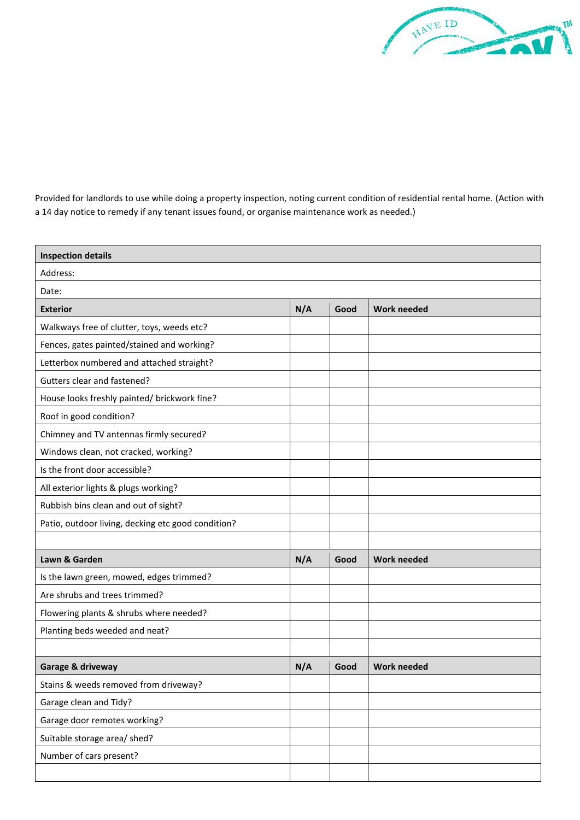Provided for landlords to use while doing a property inspection, noting current condition of residential rental home. (Action with a 14 day notice to remedy if any tenant issues found, or organise maintenance work as needed.)

| <b>Inspection details</b>                          |     |      |                    |  |  |
|----------------------------------------------------|-----|------|--------------------|--|--|
| Address:                                           |     |      |                    |  |  |
| Date:                                              |     |      |                    |  |  |
| <b>Exterior</b>                                    | N/A | Good | <b>Work needed</b> |  |  |
| Walkways free of clutter, toys, weeds etc?         |     |      |                    |  |  |
| Fences, gates painted/stained and working?         |     |      |                    |  |  |
| Letterbox numbered and attached straight?          |     |      |                    |  |  |
| Gutters clear and fastened?                        |     |      |                    |  |  |
| House looks freshly painted/ brickwork fine?       |     |      |                    |  |  |
| Roof in good condition?                            |     |      |                    |  |  |
| Chimney and TV antennas firmly secured?            |     |      |                    |  |  |
| Windows clean, not cracked, working?               |     |      |                    |  |  |
| Is the front door accessible?                      |     |      |                    |  |  |
| All exterior lights & plugs working?               |     |      |                    |  |  |
| Rubbish bins clean and out of sight?               |     |      |                    |  |  |
| Patio, outdoor living, decking etc good condition? |     |      |                    |  |  |
|                                                    |     |      |                    |  |  |
| Lawn & Garden                                      | N/A | Good | <b>Work needed</b> |  |  |
| Is the lawn green, mowed, edges trimmed?           |     |      |                    |  |  |
| Are shrubs and trees trimmed?                      |     |      |                    |  |  |
| Flowering plants & shrubs where needed?            |     |      |                    |  |  |
| Planting beds weeded and neat?                     |     |      |                    |  |  |
|                                                    |     |      |                    |  |  |
| Garage & driveway                                  | N/A | Good | <b>Work needed</b> |  |  |
| Stains & weeds removed from driveway?              |     |      |                    |  |  |
| Garage clean and Tidy?                             |     |      |                    |  |  |
| Garage door remotes working?                       |     |      |                    |  |  |
| Suitable storage area/ shed?                       |     |      |                    |  |  |
| Number of cars present?                            |     |      |                    |  |  |
|                                                    |     |      |                    |  |  |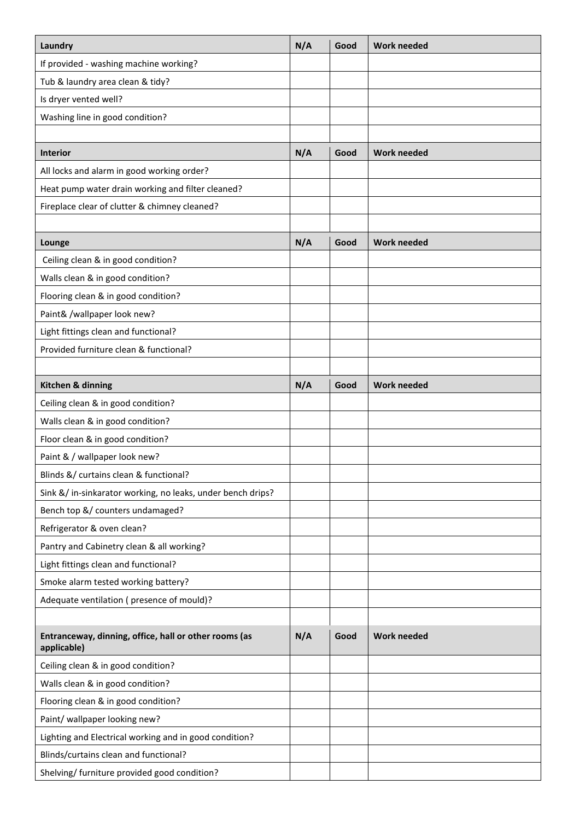| Laundry                                                              | N/A | Good | <b>Work needed</b> |
|----------------------------------------------------------------------|-----|------|--------------------|
| If provided - washing machine working?                               |     |      |                    |
| Tub & laundry area clean & tidy?                                     |     |      |                    |
| Is dryer vented well?                                                |     |      |                    |
| Washing line in good condition?                                      |     |      |                    |
|                                                                      |     |      |                    |
| <b>Interior</b>                                                      | N/A | Good | <b>Work needed</b> |
| All locks and alarm in good working order?                           |     |      |                    |
| Heat pump water drain working and filter cleaned?                    |     |      |                    |
| Fireplace clear of clutter & chimney cleaned?                        |     |      |                    |
|                                                                      |     |      |                    |
| Lounge                                                               | N/A | Good | <b>Work needed</b> |
| Ceiling clean & in good condition?                                   |     |      |                    |
| Walls clean & in good condition?                                     |     |      |                    |
| Flooring clean & in good condition?                                  |     |      |                    |
| Paint& /wallpaper look new?                                          |     |      |                    |
| Light fittings clean and functional?                                 |     |      |                    |
| Provided furniture clean & functional?                               |     |      |                    |
|                                                                      |     |      |                    |
| Kitchen & dinning                                                    | N/A | Good | <b>Work needed</b> |
| Ceiling clean & in good condition?                                   |     |      |                    |
| Walls clean & in good condition?                                     |     |      |                    |
| Floor clean & in good condition?                                     |     |      |                    |
| Paint & / wallpaper look new?                                        |     |      |                    |
| Blinds &/ curtains clean & functional?                               |     |      |                    |
| Sink &/ in-sinkarator working, no leaks, under bench drips?          |     |      |                    |
| Bench top &/ counters undamaged?                                     |     |      |                    |
| Refrigerator & oven clean?                                           |     |      |                    |
| Pantry and Cabinetry clean & all working?                            |     |      |                    |
| Light fittings clean and functional?                                 |     |      |                    |
| Smoke alarm tested working battery?                                  |     |      |                    |
| Adequate ventilation (presence of mould)?                            |     |      |                    |
|                                                                      |     |      |                    |
| Entranceway, dinning, office, hall or other rooms (as<br>applicable) | N/A | Good | <b>Work needed</b> |
| Ceiling clean & in good condition?                                   |     |      |                    |
| Walls clean & in good condition?                                     |     |      |                    |
| Flooring clean & in good condition?                                  |     |      |                    |
| Paint/ wallpaper looking new?                                        |     |      |                    |
| Lighting and Electrical working and in good condition?               |     |      |                    |
| Blinds/curtains clean and functional?                                |     |      |                    |
| Shelving/ furniture provided good condition?                         |     |      |                    |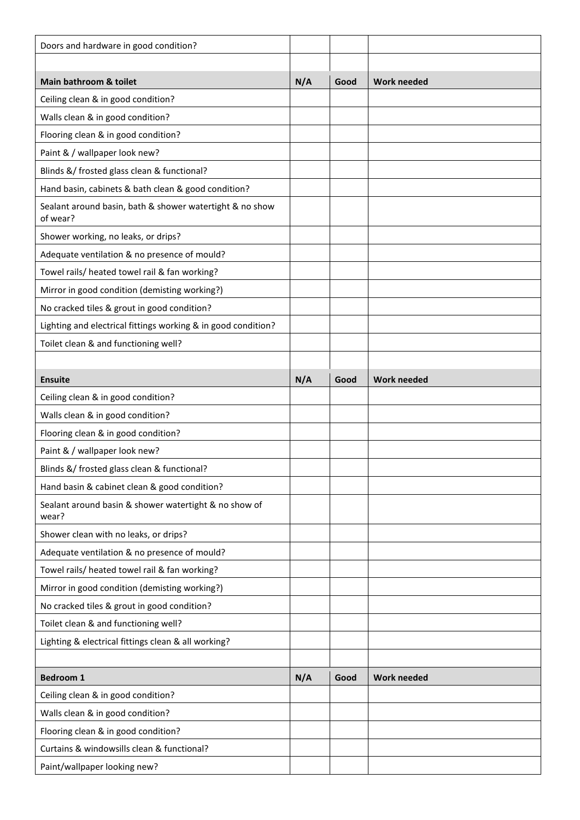| Doors and hardware in good condition?                                |     |      |                    |
|----------------------------------------------------------------------|-----|------|--------------------|
|                                                                      |     |      |                    |
| Main bathroom & toilet                                               | N/A | Good | <b>Work needed</b> |
| Ceiling clean & in good condition?                                   |     |      |                    |
| Walls clean & in good condition?                                     |     |      |                    |
| Flooring clean & in good condition?                                  |     |      |                    |
| Paint & / wallpaper look new?                                        |     |      |                    |
| Blinds &/ frosted glass clean & functional?                          |     |      |                    |
| Hand basin, cabinets & bath clean & good condition?                  |     |      |                    |
| Sealant around basin, bath & shower watertight & no show<br>of wear? |     |      |                    |
| Shower working, no leaks, or drips?                                  |     |      |                    |
| Adequate ventilation & no presence of mould?                         |     |      |                    |
| Towel rails/ heated towel rail & fan working?                        |     |      |                    |
| Mirror in good condition (demisting working?)                        |     |      |                    |
| No cracked tiles & grout in good condition?                          |     |      |                    |
| Lighting and electrical fittings working & in good condition?        |     |      |                    |
| Toilet clean & and functioning well?                                 |     |      |                    |
|                                                                      |     |      |                    |
| <b>Ensuite</b>                                                       | N/A | Good | <b>Work needed</b> |
| Ceiling clean & in good condition?                                   |     |      |                    |
| Walls clean & in good condition?                                     |     |      |                    |
| Flooring clean & in good condition?                                  |     |      |                    |
| Paint & / wallpaper look new?                                        |     |      |                    |
| Blinds &/ frosted glass clean & functional?                          |     |      |                    |
| Hand basin & cabinet clean & good condition?                         |     |      |                    |
| Sealant around basin & shower watertight & no show of<br>wear?       |     |      |                    |
| Shower clean with no leaks, or drips?                                |     |      |                    |
| Adequate ventilation & no presence of mould?                         |     |      |                    |
| Towel rails/ heated towel rail & fan working?                        |     |      |                    |
| Mirror in good condition (demisting working?)                        |     |      |                    |
| No cracked tiles & grout in good condition?                          |     |      |                    |
| Toilet clean & and functioning well?                                 |     |      |                    |
| Lighting & electrical fittings clean & all working?                  |     |      |                    |
|                                                                      |     |      |                    |
| <b>Bedroom 1</b>                                                     | N/A | Good | <b>Work needed</b> |
| Ceiling clean & in good condition?                                   |     |      |                    |
| Walls clean & in good condition?                                     |     |      |                    |
| Flooring clean & in good condition?                                  |     |      |                    |
| Curtains & windowsills clean & functional?                           |     |      |                    |
| Paint/wallpaper looking new?                                         |     |      |                    |